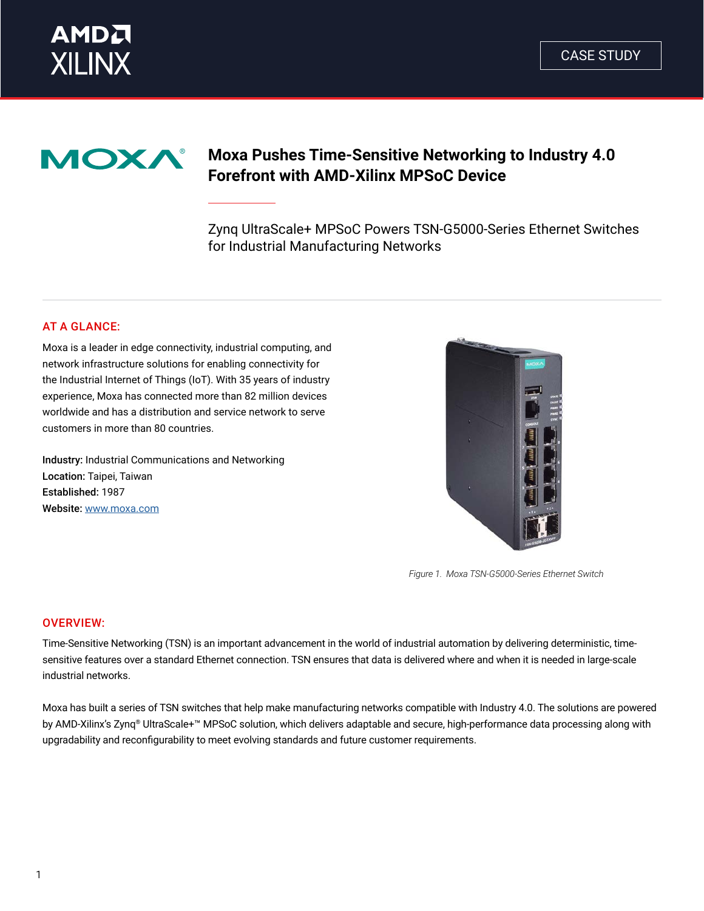



# **Moxa Pushes Time-Sensitive Networking to Industry 4.0 Forefront with AMD-Xilinx MPSoC Device**

Zynq UltraScale+ MPSoC Powers TSN-G5000-Series Ethernet Switches for Industrial Manufacturing Networks

# AT A GLANCE:

Moxa is a leader in edge connectivity, industrial computing, and network infrastructure solutions for enabling connectivity for the Industrial Internet of Things (IoT). With 35 years of industry experience, Moxa has connected more than 82 million devices worldwide and has a distribution and service network to serve customers in more than 80 countries.

Industry: Industrial Communications and Networking Location: Taipei, Taiwan Established: 1987 Website: [www.moxa.com](https://www.moxa.com/en/)



*Figure 1. Moxa TSN-G5000-Series Ethernet Switch*

#### OVERVIEW:

Time-Sensitive Networking (TSN) is an important advancement in the world of industrial automation by delivering deterministic, timesensitive features over a standard Ethernet connection. TSN ensures that data is delivered where and when it is needed in large-scale industrial networks.

Moxa has built a series of TSN switches that help make manufacturing networks compatible with Industry 4.0. The solutions are powered by AMD-Xilinx's Zynq® UltraScale+™ MPSoC solution, which delivers adaptable and secure, high-performance data processing along with upgradability and reconfigurability to meet evolving standards and future customer requirements.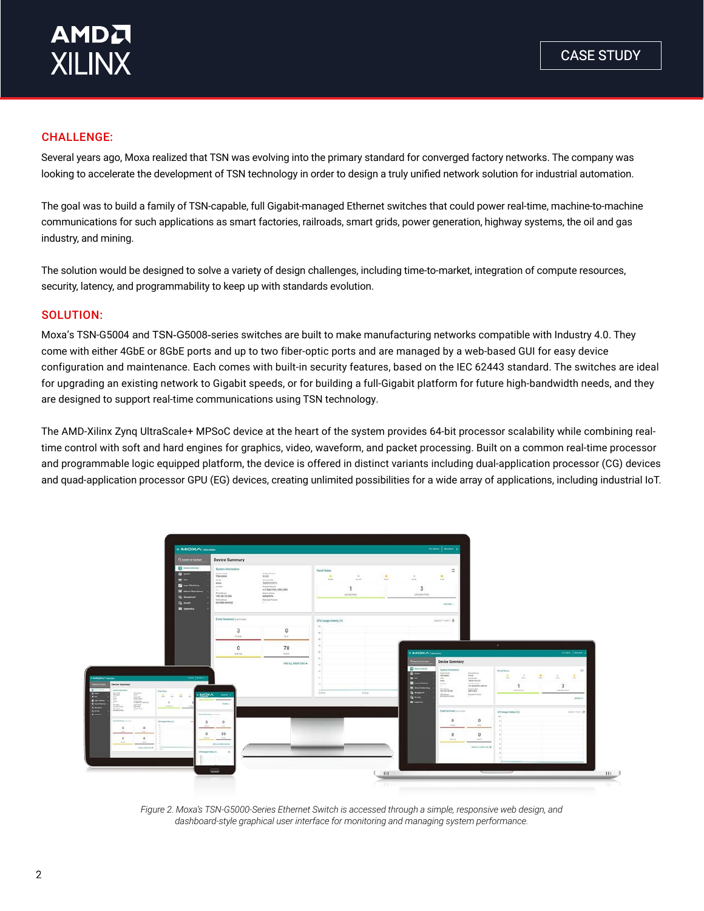### CHALLENGE:

Several years ago, Moxa realized that TSN was evolving into the primary standard for converged factory networks. The company was looking to accelerate the development of TSN technology in order to design a truly unified network solution for industrial automation.

The goal was to build a family of TSN-capable, full Gigabit-managed Ethernet switches that could power real-time, machine-to-machine communications for such applications as smart factories, railroads, smart grids, power generation, highway systems, the oil and gas industry, and mining.

The solution would be designed to solve a variety of design challenges, including time-to-market, integration of compute resources, security, latency, and programmability to keep up with standards evolution.

#### SOLUTION:

Moxa's TSN-G5004 and TSN-G5008-series switches are built to make manufacturing networks compatible with Industry 4.0. They come with either 4GbE or 8GbE ports and up to two fiber-optic ports and are managed by a web-based GUI for easy device configuration and maintenance. Each comes with built-in security features, based on the IEC 62443 standard. The switches are ideal for upgrading an existing network to Gigabit speeds, or for building a full-Gigabit platform for future high-bandwidth needs, and they are designed to support real-time communications using TSN technology.

The AMD-Xilinx Zynq UltraScale+ MPSoC device at the heart of the system provides 64-bit processor scalability while combining realtime control with soft and hard engines for graphics, video, waveform, and packet processing. Built on a common real-time processor and programmable logic equipped platform, the device is offered in distinct variants including dual-application processor (CG) devices and quad-application processor GPU (EG) devices, creating unlimited possibilities for a wide array of applications, including industrial IoT.



*Figure 2. Moxa's TSN-G5000-Series Ethernet Switch is accessed through a simple, responsive web design, and dashboard-style graphical user interface for monitoring and managing system performance.*